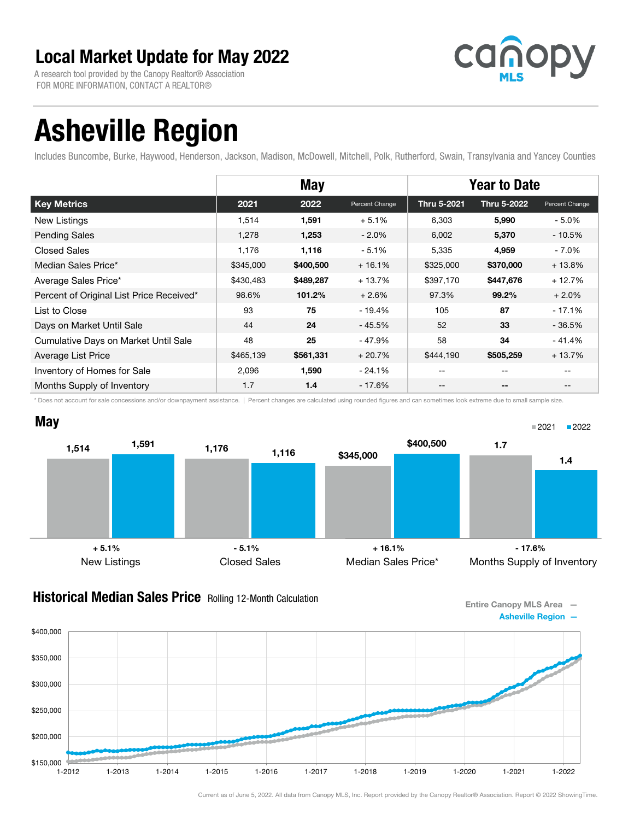A research tool provided by the Canopy Realtor® Association FOR MORE INFORMATION, CONTACT A REALTOR®



# Asheville Region

Includes Buncombe, Burke, Haywood, Henderson, Jackson, Madison, McDowell, Mitchell, Polk, Rutherford, Swain, Transylvania and Yancey Counties

|                                          | <b>May</b> |           |                | <b>Year to Date</b> |                          |                |
|------------------------------------------|------------|-----------|----------------|---------------------|--------------------------|----------------|
| <b>Key Metrics</b>                       | 2021       | 2022      | Percent Change | Thru 5-2021         | Thru 5-2022              | Percent Change |
| New Listings                             | 1,514      | 1,591     | $+5.1%$        | 6,303               | 5,990                    | $-5.0\%$       |
| <b>Pending Sales</b>                     | 1,278      | 1,253     | $-2.0\%$       | 6,002               | 5,370                    | $-10.5%$       |
| <b>Closed Sales</b>                      | 1,176      | 1,116     | $-5.1%$        | 5,335               | 4,959                    | - 7.0%         |
| Median Sales Price*                      | \$345,000  | \$400,500 | $+16.1%$       | \$325,000           | \$370,000                | $+13.8%$       |
| Average Sales Price*                     | \$430,483  | \$489,287 | $+13.7%$       | \$397,170           | \$447,676                | $+12.7%$       |
| Percent of Original List Price Received* | 98.6%      | 101.2%    | $+2.6%$        | 97.3%               | 99.2%                    | $+2.0%$        |
| List to Close                            | 93         | 75        | $-19.4%$       | 105                 | 87                       | $-17.1%$       |
| Days on Market Until Sale                | 44         | 24        | $-45.5%$       | 52                  | 33                       | $-36.5%$       |
| Cumulative Days on Market Until Sale     | 48         | 25        | $-47.9%$       | 58                  | 34                       | $-41.4%$       |
| Average List Price                       | \$465,139  | \$561,331 | $+20.7%$       | \$444,190           | \$505,259                | $+13.7%$       |
| Inventory of Homes for Sale              | 2,096      | 1,590     | $-24.1%$       | $- -$               | $\overline{\phantom{m}}$ | --             |
| Months Supply of Inventory               | 1.7        | 1.4       | $-17.6%$       |                     | --                       |                |

\* Does not account for sale concessions and/or downpayment assistance. | Percent changes are calculated using rounded figures and can sometimes look extreme due to small sample size.



#### **Historical Median Sales Price** Rolling 12-Month Calculation

Entire Canopy MLS Area — Asheville Region —

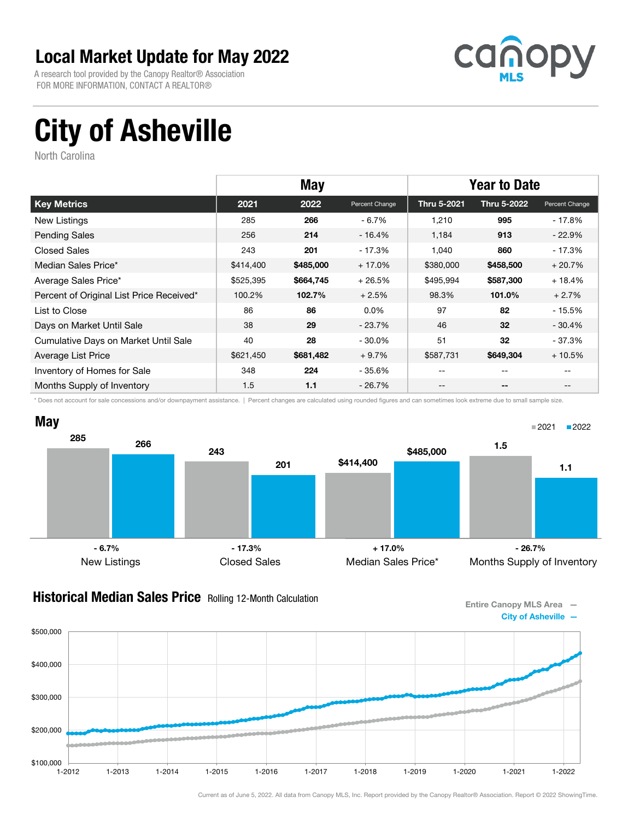A research tool provided by the Canopy Realtor® Association FOR MORE INFORMATION, CONTACT A REALTOR®



# City of Asheville

North Carolina

|                                          | <b>May</b> |           |                | <b>Year to Date</b> |                    |                |
|------------------------------------------|------------|-----------|----------------|---------------------|--------------------|----------------|
| <b>Key Metrics</b>                       | 2021       | 2022      | Percent Change | Thru 5-2021         | <b>Thru 5-2022</b> | Percent Change |
| New Listings                             | 285        | 266       | $-6.7%$        | 1,210               | 995                | - 17.8%        |
| <b>Pending Sales</b>                     | 256        | 214       | $-16.4%$       | 1,184               | 913                | $-22.9%$       |
| <b>Closed Sales</b>                      | 243        | 201       | - 17.3%        | 1,040               | 860                | $-17.3%$       |
| Median Sales Price*                      | \$414,400  | \$485,000 | $+17.0%$       | \$380,000           | \$458,500          | $+20.7%$       |
| Average Sales Price*                     | \$525,395  | \$664,745 | $+26.5%$       | \$495,994           | \$587,300          | $+18.4%$       |
| Percent of Original List Price Received* | 100.2%     | 102.7%    | $+2.5%$        | 98.3%               | 101.0%             | $+2.7%$        |
| List to Close                            | 86         | 86        | $0.0\%$        | 97                  | 82                 | $-15.5%$       |
| Days on Market Until Sale                | 38         | 29        | $-23.7%$       | 46                  | 32                 | $-30.4%$       |
| Cumulative Days on Market Until Sale     | 40         | 28        | $-30.0\%$      | 51                  | 32                 | - 37.3%        |
| Average List Price                       | \$621,450  | \$681,482 | $+9.7%$        | \$587,731           | \$649,304          | $+10.5%$       |
| Inventory of Homes for Sale              | 348        | 224       | $-35.6%$       | --                  | --                 |                |
| Months Supply of Inventory               | 1.5        | 1.1       | - 26.7%        | --                  | --                 |                |

\* Does not account for sale concessions and/or downpayment assistance. | Percent changes are calculated using rounded figures and can sometimes look extreme due to small sample size.



#### **Historical Median Sales Price** Rolling 12-Month Calculation

Entire Canopy MLS Area — City of Asheville —

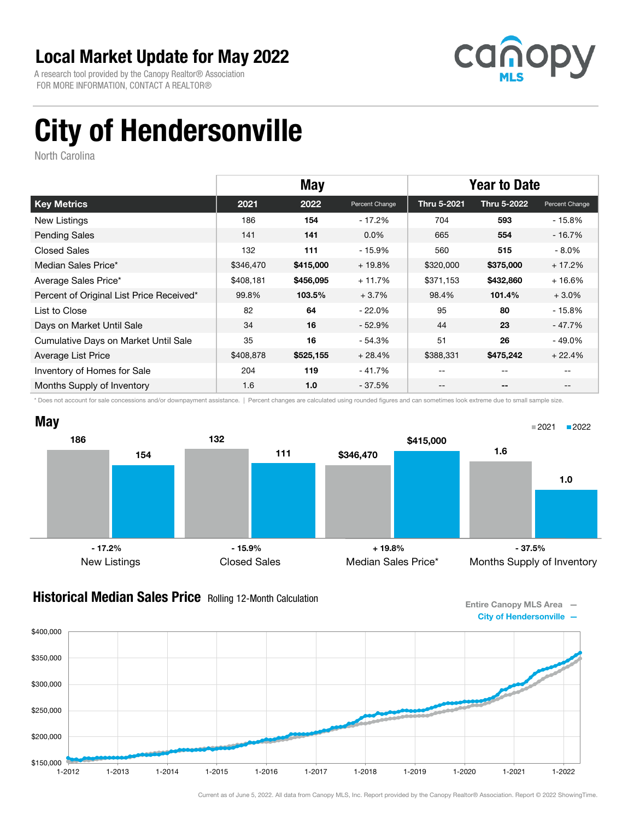A research tool provided by the Canopy Realtor® Association FOR MORE INFORMATION, CONTACT A REALTOR®



# City of Hendersonville

North Carolina

|                                          | <b>May</b> |           |                | <b>Year to Date</b> |             |                |
|------------------------------------------|------------|-----------|----------------|---------------------|-------------|----------------|
| <b>Key Metrics</b>                       | 2021       | 2022      | Percent Change | Thru 5-2021         | Thru 5-2022 | Percent Change |
| New Listings                             | 186        | 154       | $-17.2%$       | 704                 | 593         | - 15.8%        |
| <b>Pending Sales</b>                     | 141        | 141       | $0.0\%$        | 665                 | 554         | $-16.7%$       |
| <b>Closed Sales</b>                      | 132        | 111       | $-15.9%$       | 560                 | 515         | $-8.0\%$       |
| Median Sales Price*                      | \$346,470  | \$415,000 | $+19.8%$       | \$320,000           | \$375,000   | $+17.2%$       |
| Average Sales Price*                     | \$408,181  | \$456,095 | $+11.7%$       | \$371,153           | \$432,860   | $+16.6%$       |
| Percent of Original List Price Received* | 99.8%      | 103.5%    | $+3.7%$        | 98.4%               | 101.4%      | $+3.0\%$       |
| List to Close                            | 82         | 64        | - 22.0%        | 95                  | 80          | $-15.8%$       |
| Days on Market Until Sale                | 34         | 16        | $-52.9%$       | 44                  | 23          | $-47.7\%$      |
| Cumulative Days on Market Until Sale     | 35         | 16        | $-54.3%$       | 51                  | 26          | $-49.0\%$      |
| Average List Price                       | \$408,878  | \$525,155 | $+28.4%$       | \$388,331           | \$475,242   | $+22.4%$       |
| Inventory of Homes for Sale              | 204        | 119       | $-41.7%$       | --                  | --          |                |
| Months Supply of Inventory               | 1.6        | 1.0       | - 37.5%        | --                  | --          | $- -$          |

\* Does not account for sale concessions and/or downpayment assistance. | Percent changes are calculated using rounded figures and can sometimes look extreme due to small sample size.



#### **Historical Median Sales Price** Rolling 12-Month Calculation

Entire Canopy MLS Area —



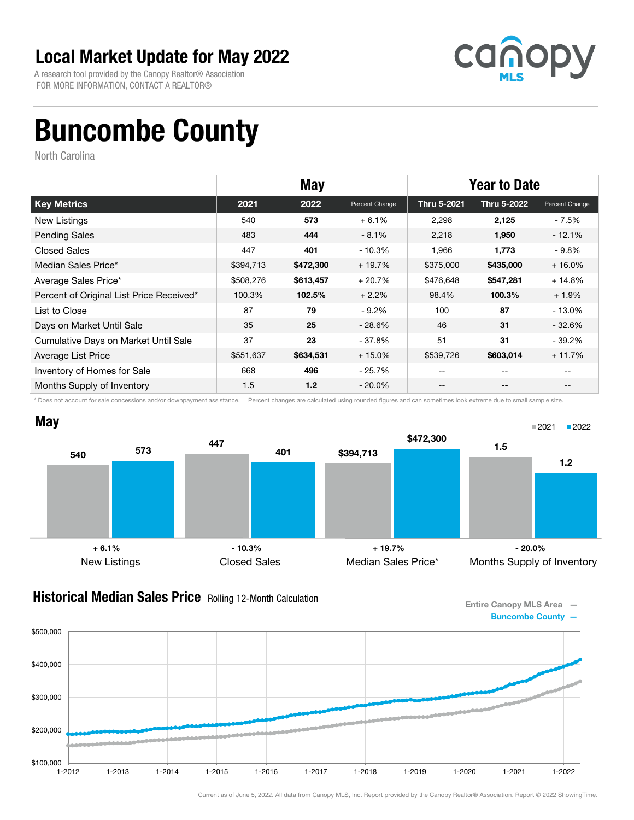A research tool provided by the Canopy Realtor® Association FOR MORE INFORMATION, CONTACT A REALTOR®



## Buncombe County

North Carolina

|                                          | <b>May</b> |           |                | <b>Year to Date</b> |             |                |
|------------------------------------------|------------|-----------|----------------|---------------------|-------------|----------------|
| <b>Key Metrics</b>                       | 2021       | 2022      | Percent Change | Thru 5-2021         | Thru 5-2022 | Percent Change |
| New Listings                             | 540        | 573       | $+6.1%$        | 2,298               | 2,125       | - 7.5%         |
| <b>Pending Sales</b>                     | 483        | 444       | $-8.1%$        | 2,218               | 1,950       | $-12.1%$       |
| <b>Closed Sales</b>                      | 447        | 401       | $-10.3%$       | 1,966               | 1,773       | $-9.8%$        |
| Median Sales Price*                      | \$394,713  | \$472,300 | $+19.7%$       | \$375,000           | \$435,000   | $+16.0%$       |
| Average Sales Price*                     | \$508,276  | \$613,457 | $+20.7%$       | \$476,648           | \$547,281   | $+14.8%$       |
| Percent of Original List Price Received* | 100.3%     | 102.5%    | $+2.2%$        | 98.4%               | 100.3%      | $+1.9%$        |
| List to Close                            | 87         | 79        | $-9.2%$        | 100                 | 87          | $-13.0%$       |
| Days on Market Until Sale                | 35         | 25        | - 28.6%        | 46                  | 31          | $-32.6\%$      |
| Cumulative Days on Market Until Sale     | 37         | 23        | - 37.8%        | 51                  | 31          | $-39.2%$       |
| Average List Price                       | \$551,637  | \$634,531 | $+15.0%$       | \$539,726           | \$603,014   | $+11.7%$       |
| Inventory of Homes for Sale              | 668        | 496       | $-25.7%$       | --                  | --          |                |
| Months Supply of Inventory               | 1.5        | 1.2       | $-20.0\%$      | --                  | --          | $- -$          |

\* Does not account for sale concessions and/or downpayment assistance. | Percent changes are calculated using rounded figures and can sometimes look extreme due to small sample size.



#### **Historical Median Sales Price** Rolling 12-Month Calculation

Entire Canopy MLS Area — Buncombe County —

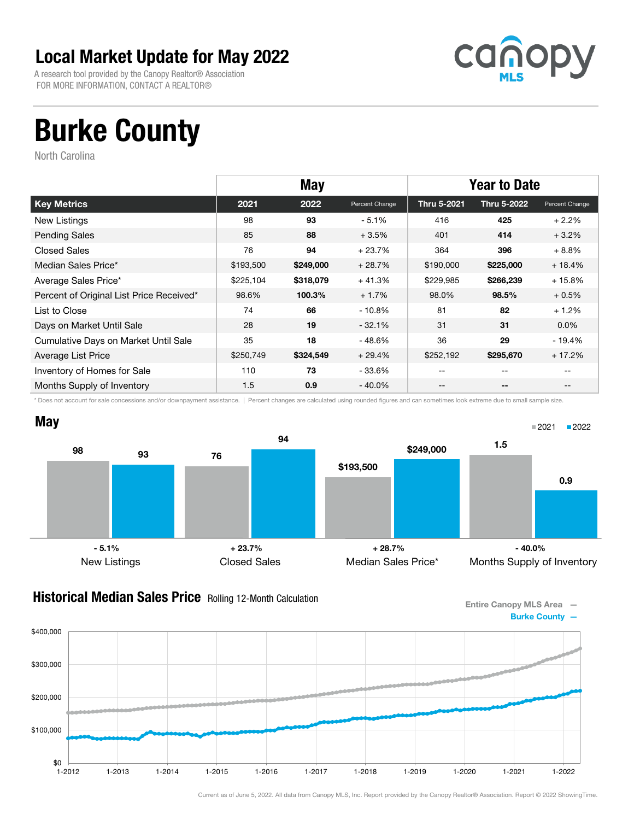A research tool provided by the Canopy Realtor® Association FOR MORE INFORMATION, CONTACT A REALTOR®



## Burke County

North Carolina

|                                          | <b>May</b> |           |                | <b>Year to Date</b> |             |                |
|------------------------------------------|------------|-----------|----------------|---------------------|-------------|----------------|
| <b>Key Metrics</b>                       | 2021       | 2022      | Percent Change | Thru 5-2021         | Thru 5-2022 | Percent Change |
| New Listings                             | 98         | 93        | $-5.1%$        | 416                 | 425         | $+2.2%$        |
| <b>Pending Sales</b>                     | 85         | 88        | $+3.5%$        | 401                 | 414         | $+3.2%$        |
| <b>Closed Sales</b>                      | 76         | 94        | $+23.7%$       | 364                 | 396         | $+8.8%$        |
| Median Sales Price*                      | \$193,500  | \$249,000 | $+28.7%$       | \$190,000           | \$225,000   | $+18.4%$       |
| Average Sales Price*                     | \$225,104  | \$318,079 | $+41.3%$       | \$229,985           | \$266,239   | $+15.8%$       |
| Percent of Original List Price Received* | 98.6%      | 100.3%    | $+1.7%$        | 98.0%               | 98.5%       | $+0.5%$        |
| List to Close                            | 74         | 66        | $-10.8\%$      | 81                  | 82          | $+1.2%$        |
| Days on Market Until Sale                | 28         | 19        | $-32.1%$       | 31                  | 31          | $0.0\%$        |
| Cumulative Days on Market Until Sale     | 35         | 18        | $-48.6%$       | 36                  | 29          | $-19.4%$       |
| Average List Price                       | \$250,749  | \$324,549 | $+29.4%$       | \$252,192           | \$295,670   | $+17.2%$       |
| Inventory of Homes for Sale              | 110        | 73        | - 33.6%        | --                  | $- -$       |                |
| Months Supply of Inventory               | 1.5        | 0.9       | $-40.0\%$      | --                  | --          |                |

\* Does not account for sale concessions and/or downpayment assistance. | Percent changes are calculated using rounded figures and can sometimes look extreme due to small sample size.



#### **Historical Median Sales Price** Rolling 12-Month Calculation

Entire Canopy MLS Area — Burke County —

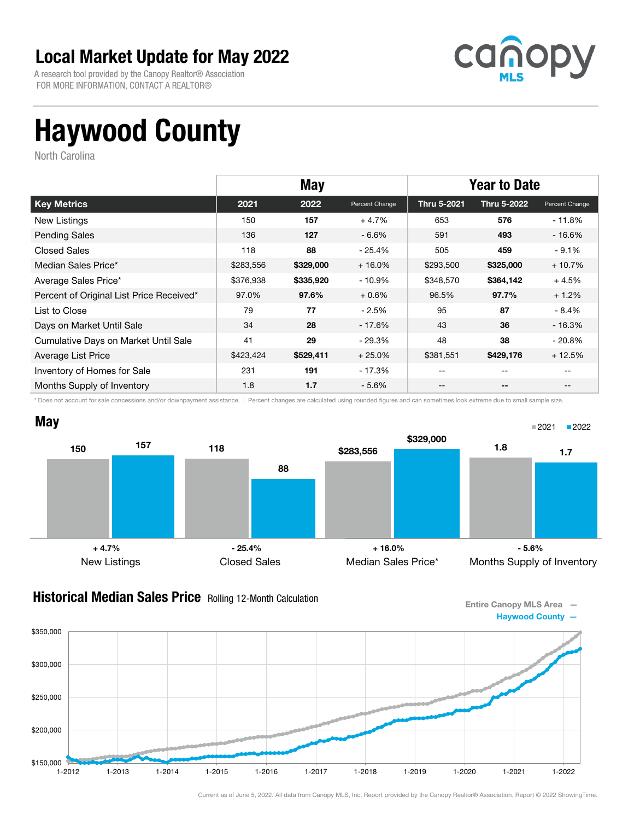A research tool provided by the Canopy Realtor® Association FOR MORE INFORMATION, CONTACT A REALTOR®



# Haywood County

North Carolina

|                                          | <b>May</b> |           |                | <b>Year to Date</b> |             |                |
|------------------------------------------|------------|-----------|----------------|---------------------|-------------|----------------|
| <b>Key Metrics</b>                       | 2021       | 2022      | Percent Change | <b>Thru 5-2021</b>  | Thru 5-2022 | Percent Change |
| New Listings                             | 150        | 157       | $+4.7%$        | 653                 | 576         | - 11.8%        |
| <b>Pending Sales</b>                     | 136        | 127       | $-6.6%$        | 591                 | 493         | $-16.6%$       |
| <b>Closed Sales</b>                      | 118        | 88        | $-25.4%$       | 505                 | 459         | $-9.1%$        |
| Median Sales Price*                      | \$283,556  | \$329,000 | $+16.0%$       | \$293,500           | \$325,000   | $+10.7%$       |
| Average Sales Price*                     | \$376,938  | \$335,920 | - 10.9%        | \$348,570           | \$364,142   | $+4.5%$        |
| Percent of Original List Price Received* | 97.0%      | 97.6%     | $+0.6%$        | 96.5%               | 97.7%       | $+1.2%$        |
| List to Close                            | 79         | 77        | $-2.5%$        | 95                  | 87          | - 8.4%         |
| Days on Market Until Sale                | 34         | 28        | - 17.6%        | 43                  | 36          | $-16.3%$       |
| Cumulative Days on Market Until Sale     | 41         | 29        | - 29.3%        | 48                  | 38          | $-20.8%$       |
| Average List Price                       | \$423,424  | \$529,411 | $+25.0%$       | \$381,551           | \$429,176   | $+12.5%$       |
| Inventory of Homes for Sale              | 231        | 191       | - 17.3%        | --                  | --          |                |
| Months Supply of Inventory               | 1.8        | 1.7       | $-5.6%$        | --                  | --          |                |

\* Does not account for sale concessions and/or downpayment assistance. | Percent changes are calculated using rounded figures and can sometimes look extreme due to small sample size.



#### **Historical Median Sales Price** Rolling 12-Month Calculation

Entire Canopy MLS Area — Haywood County —

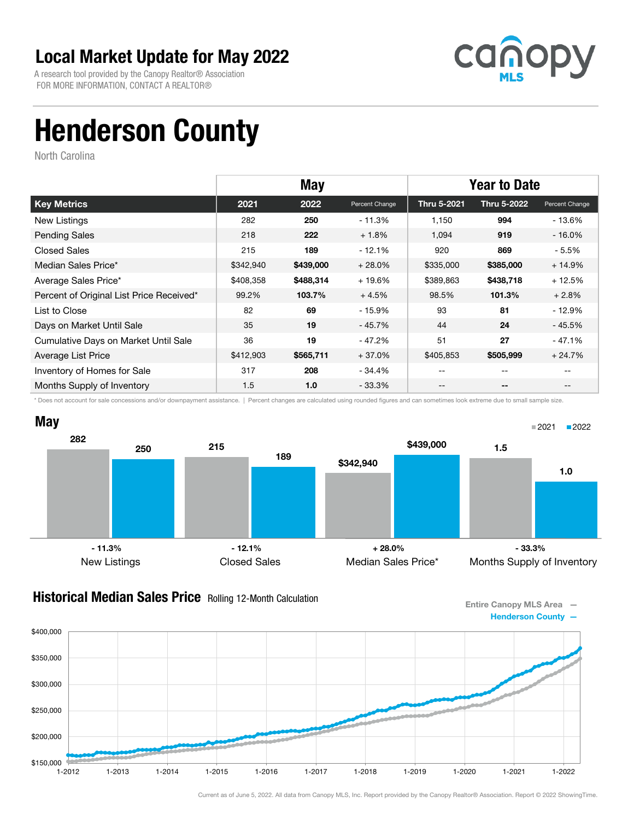A research tool provided by the Canopy Realtor® Association FOR MORE INFORMATION, CONTACT A REALTOR®



# Henderson County

North Carolina

|                                          |           | <b>May</b> |                | <b>Year to Date</b> |             |                |
|------------------------------------------|-----------|------------|----------------|---------------------|-------------|----------------|
| <b>Key Metrics</b>                       | 2021      | 2022       | Percent Change | Thru 5-2021         | Thru 5-2022 | Percent Change |
| New Listings                             | 282       | 250        | - 11.3%        | 1.150               | 994         | $-13.6%$       |
| <b>Pending Sales</b>                     | 218       | 222        | $+1.8%$        | 1,094               | 919         | $-16.0%$       |
| Closed Sales                             | 215       | 189        | $-12.1%$       | 920                 | 869         | $-5.5%$        |
| Median Sales Price*                      | \$342,940 | \$439,000  | $+28.0%$       | \$335,000           | \$385,000   | $+14.9%$       |
| Average Sales Price*                     | \$408,358 | \$488,314  | $+19.6%$       | \$389,863           | \$438,718   | $+12.5%$       |
| Percent of Original List Price Received* | 99.2%     | 103.7%     | $+4.5%$        | 98.5%               | 101.3%      | $+2.8%$        |
| List to Close                            | 82        | 69         | - 15.9%        | 93                  | 81          | $-12.9%$       |
| Days on Market Until Sale                | 35        | 19         | - 45.7%        | 44                  | 24          | $-45.5%$       |
| Cumulative Days on Market Until Sale     | 36        | 19         | $-47.2%$       | 51                  | 27          | $-47.1%$       |
| Average List Price                       | \$412,903 | \$565,711  | $+37.0%$       | \$405,853           | \$505,999   | $+24.7%$       |
| Inventory of Homes for Sale              | 317       | 208        | - 34.4%        | --                  | $- -$       | $- -$          |
| Months Supply of Inventory               | 1.5       | 1.0        | $-33.3\%$      | --                  | --          | $- -$          |

\* Does not account for sale concessions and/or downpayment assistance. | Percent changes are calculated using rounded figures and can sometimes look extreme due to small sample size.



#### **Historical Median Sales Price** Rolling 12-Month Calculation

Entire Canopy MLS Area —



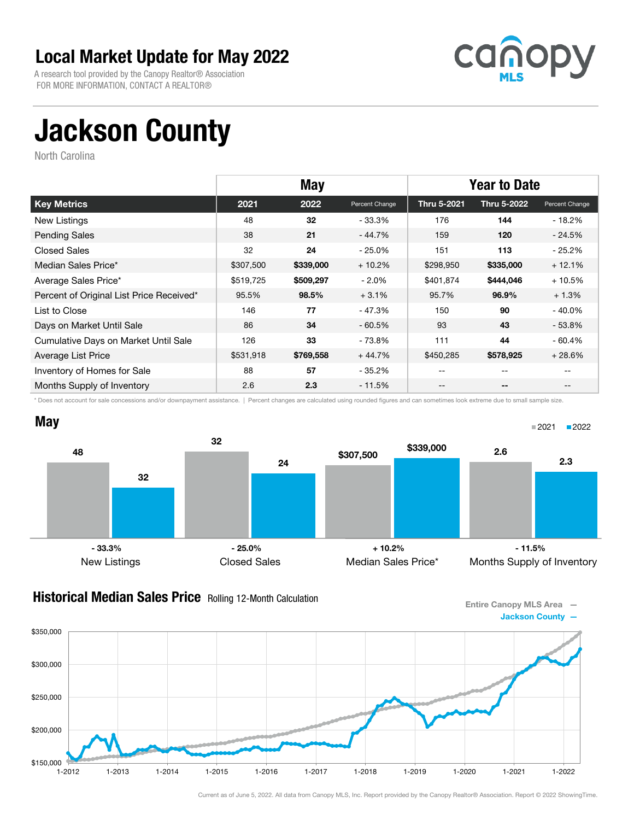A research tool provided by the Canopy Realtor® Association FOR MORE INFORMATION, CONTACT A REALTOR®



# Jackson County

North Carolina

|                                          | <b>May</b> |           |                | <b>Year to Date</b> |             |                |
|------------------------------------------|------------|-----------|----------------|---------------------|-------------|----------------|
| <b>Key Metrics</b>                       | 2021       | 2022      | Percent Change | Thru 5-2021         | Thru 5-2022 | Percent Change |
| New Listings                             | 48         | 32        | - 33.3%        | 176                 | 144         | - 18.2%        |
| <b>Pending Sales</b>                     | 38         | 21        | - 44.7%        | 159                 | 120         | $-24.5%$       |
| <b>Closed Sales</b>                      | 32         | 24        | - 25.0%        | 151                 | 113         | $-25.2%$       |
| Median Sales Price*                      | \$307,500  | \$339,000 | $+10.2%$       | \$298,950           | \$335,000   | $+12.1%$       |
| Average Sales Price*                     | \$519,725  | \$509,297 | $-2.0%$        | \$401,874           | \$444,046   | $+10.5%$       |
| Percent of Original List Price Received* | 95.5%      | 98.5%     | $+3.1%$        | 95.7%               | 96.9%       | $+1.3%$        |
| List to Close                            | 146        | 77        | - 47.3%        | 150                 | 90          | $-40.0%$       |
| Days on Market Until Sale                | 86         | 34        | $-60.5\%$      | 93                  | 43          | $-53.8%$       |
| Cumulative Days on Market Until Sale     | 126        | 33        | - 73.8%        | 111                 | 44          | $-60.4%$       |
| Average List Price                       | \$531,918  | \$769,558 | $+44.7%$       | \$450,285           | \$578,925   | $+28.6%$       |
| Inventory of Homes for Sale              | 88         | 57        | - 35.2%        | --                  | --          |                |
| Months Supply of Inventory               | 2.6        | 2.3       | - 11.5%        | --                  | $- -$       |                |

\* Does not account for sale concessions and/or downpayment assistance. | Percent changes are calculated using rounded figures and can sometimes look extreme due to small sample size.



#### **Historical Median Sales Price** Rolling 12-Month Calculation

Entire Canopy MLS Area — Jackson County —

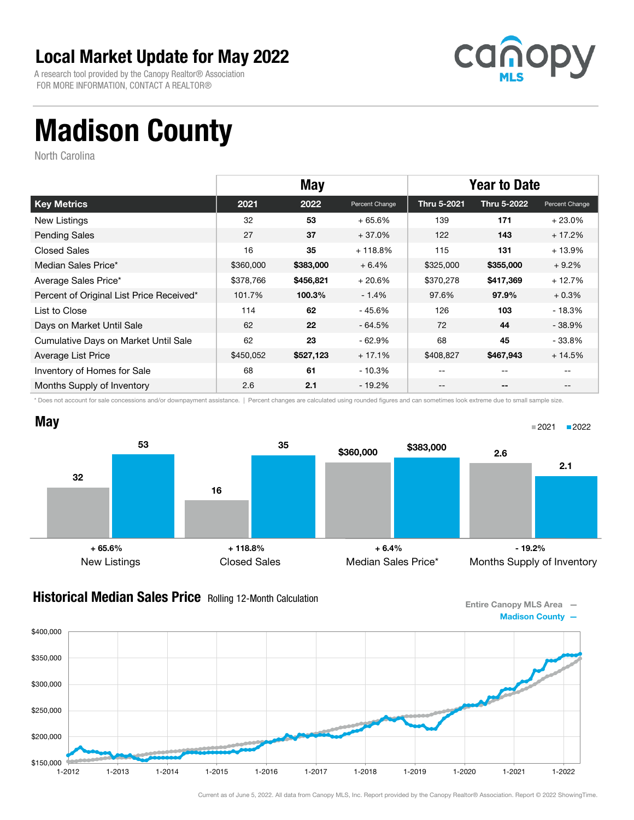A research tool provided by the Canopy Realtor® Association FOR MORE INFORMATION, CONTACT A REALTOR®



# Madison County

North Carolina

|                                          | <b>May</b> |           |                | <b>Year to Date</b> |             |                |
|------------------------------------------|------------|-----------|----------------|---------------------|-------------|----------------|
| <b>Key Metrics</b>                       | 2021       | 2022      | Percent Change | Thru 5-2021         | Thru 5-2022 | Percent Change |
| New Listings                             | 32         | 53        | $+65.6%$       | 139                 | 171         | $+23.0%$       |
| <b>Pending Sales</b>                     | 27         | 37        | $+37.0%$       | 122                 | 143         | $+17.2%$       |
| <b>Closed Sales</b>                      | 16         | 35        | $+118.8%$      | 115                 | 131         | $+13.9%$       |
| Median Sales Price*                      | \$360,000  | \$383,000 | $+6.4%$        | \$325,000           | \$355,000   | $+9.2%$        |
| Average Sales Price*                     | \$378,766  | \$456,821 | $+20.6%$       | \$370,278           | \$417,369   | $+12.7%$       |
| Percent of Original List Price Received* | 101.7%     | 100.3%    | $-1.4%$        | 97.6%               | 97.9%       | $+0.3%$        |
| List to Close                            | 114        | 62        | - 45.6%        | 126                 | 103         | - 18.3%        |
| Days on Market Until Sale                | 62         | 22        | $-64.5%$       | 72                  | 44          | $-38.9%$       |
| Cumulative Days on Market Until Sale     | 62         | 23        | $-62.9\%$      | 68                  | 45          | $-33.8\%$      |
| Average List Price                       | \$450,052  | \$527,123 | $+17.1%$       | \$408,827           | \$467,943   | $+14.5%$       |
| Inventory of Homes for Sale              | 68         | 61        | - 10.3%        | --                  | --          |                |
| Months Supply of Inventory               | 2.6        | 2.1       | - 19.2%        | --                  | $- -$       |                |

\* Does not account for sale concessions and/or downpayment assistance. | Percent changes are calculated using rounded figures and can sometimes look extreme due to small sample size.



#### **Historical Median Sales Price** Rolling 12-Month Calculation

Entire Canopy MLS Area — Madison County —

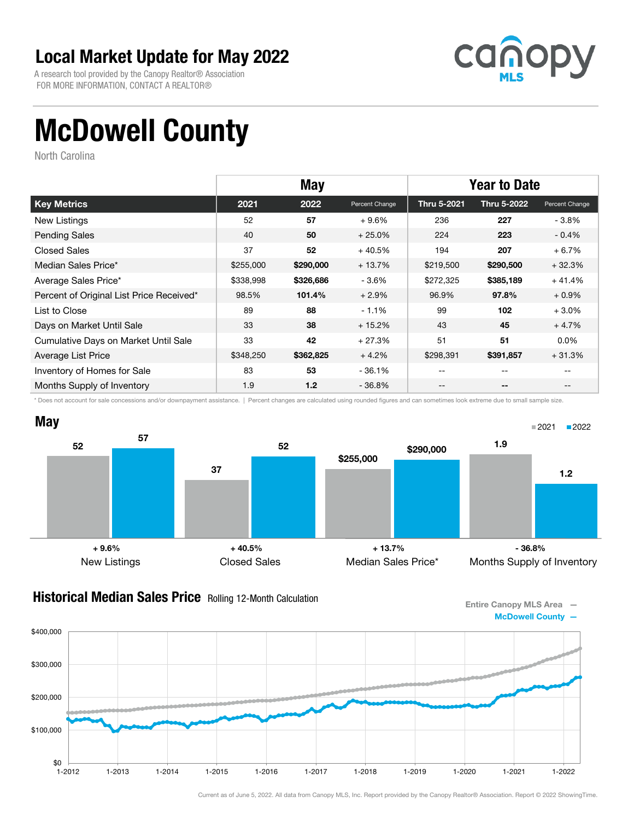A research tool provided by the Canopy Realtor® Association FOR MORE INFORMATION, CONTACT A REALTOR®



# McDowell County

North Carolina

|                                          | <b>May</b> |           |                | <b>Year to Date</b> |             |                |
|------------------------------------------|------------|-----------|----------------|---------------------|-------------|----------------|
| <b>Key Metrics</b>                       | 2021       | 2022      | Percent Change | Thru 5-2021         | Thru 5-2022 | Percent Change |
| <b>New Listings</b>                      | 52         | 57        | $+9.6%$        | 236                 | 227         | $-3.8\%$       |
| <b>Pending Sales</b>                     | 40         | 50        | $+25.0%$       | 224                 | 223         | $-0.4%$        |
| <b>Closed Sales</b>                      | 37         | 52        | $+40.5%$       | 194                 | 207         | $+6.7%$        |
| Median Sales Price*                      | \$255,000  | \$290,000 | $+13.7%$       | \$219,500           | \$290,500   | $+32.3%$       |
| Average Sales Price*                     | \$338,998  | \$326,686 | $-3.6%$        | \$272,325           | \$385,189   | $+41.4%$       |
| Percent of Original List Price Received* | 98.5%      | 101.4%    | $+2.9%$        | 96.9%               | 97.8%       | $+0.9\%$       |
| List to Close                            | 89         | 88        | $-1.1%$        | 99                  | 102         | $+3.0%$        |
| Days on Market Until Sale                | 33         | 38        | $+15.2%$       | 43                  | 45          | $+4.7%$        |
| Cumulative Days on Market Until Sale     | 33         | 42        | $+27.3%$       | 51                  | 51          | $0.0\%$        |
| Average List Price                       | \$348,250  | \$362,825 | $+4.2%$        | \$298,391           | \$391,857   | $+31.3%$       |
| Inventory of Homes for Sale              | 83         | 53        | - 36.1%        | --                  | --          |                |
| Months Supply of Inventory               | 1.9        | 1.2       | $-36.8\%$      | --                  | --          |                |

\* Does not account for sale concessions and/or downpayment assistance. | Percent changes are calculated using rounded figures and can sometimes look extreme due to small sample size.



#### **Historical Median Sales Price** Rolling 12-Month Calculation

Entire Canopy MLS Area — McDowell County —

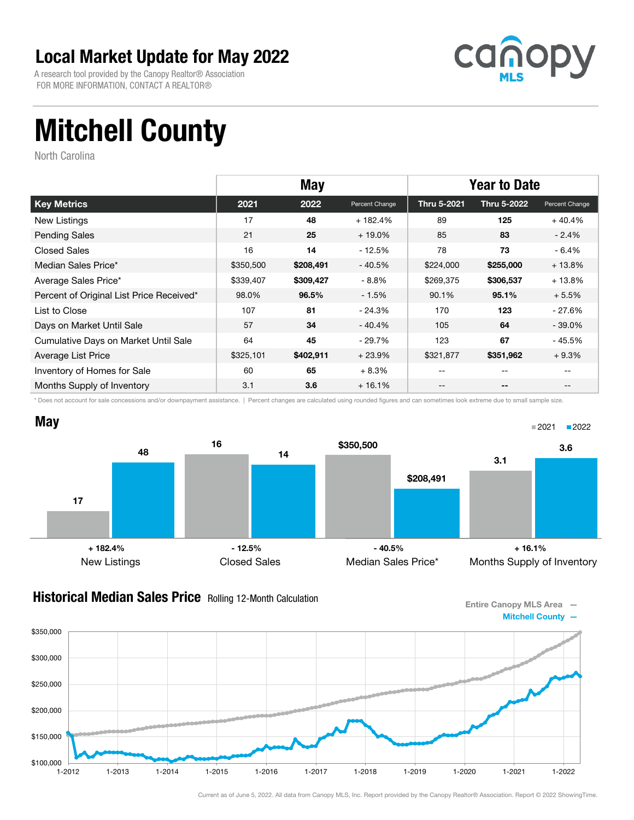A research tool provided by the Canopy Realtor® Association FOR MORE INFORMATION, CONTACT A REALTOR®



# Mitchell County

North Carolina

|                                          | <b>May</b> |           |                | <b>Year to Date</b> |             |                |
|------------------------------------------|------------|-----------|----------------|---------------------|-------------|----------------|
| <b>Key Metrics</b>                       | 2021       | 2022      | Percent Change | <b>Thru 5-2021</b>  | Thru 5-2022 | Percent Change |
| New Listings                             | 17         | 48        | $+182.4%$      | 89                  | 125         | $+40.4%$       |
| <b>Pending Sales</b>                     | 21         | 25        | $+19.0\%$      | 85                  | 83          | $-2.4%$        |
| <b>Closed Sales</b>                      | 16         | 14        | $-12.5%$       | 78                  | 73          | $-6.4%$        |
| Median Sales Price*                      | \$350,500  | \$208,491 | $-40.5%$       | \$224,000           | \$255,000   | $+13.8%$       |
| Average Sales Price*                     | \$339,407  | \$309,427 | $-8.8%$        | \$269,375           | \$306,537   | $+13.8%$       |
| Percent of Original List Price Received* | 98.0%      | 96.5%     | $-1.5%$        | 90.1%               | 95.1%       | $+5.5%$        |
| List to Close                            | 107        | 81        | - 24.3%        | 170                 | 123         | - 27.6%        |
| Days on Market Until Sale                | 57         | 34        | - 40.4%        | 105                 | 64          | $-39.0\%$      |
| Cumulative Days on Market Until Sale     | 64         | 45        | - 29.7%        | 123                 | 67          | - 45.5%        |
| Average List Price                       | \$325,101  | \$402,911 | $+23.9%$       | \$321,877           | \$351,962   | $+9.3%$        |
| Inventory of Homes for Sale              | 60         | 65        | $+8.3%$        | --                  | --          |                |
| Months Supply of Inventory               | 3.1        | 3.6       | $+16.1%$       | --                  | --          |                |

\* Does not account for sale concessions and/or downpayment assistance. | Percent changes are calculated using rounded figures and can sometimes look extreme due to small sample size.



#### **Historical Median Sales Price** Rolling 12-Month Calculation

Entire Canopy MLS Area — Mitchell County —

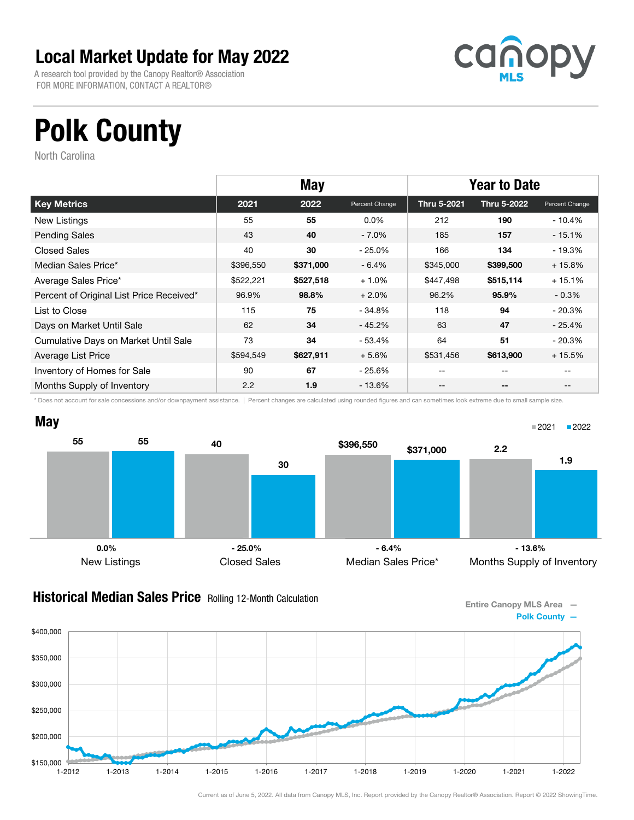A research tool provided by the Canopy Realtor® Association FOR MORE INFORMATION, CONTACT A REALTOR®



# Polk County

North Carolina

|                                          | <b>May</b> |           |                | <b>Year to Date</b> |             |                |
|------------------------------------------|------------|-----------|----------------|---------------------|-------------|----------------|
| <b>Key Metrics</b>                       | 2021       | 2022      | Percent Change | Thru 5-2021         | Thru 5-2022 | Percent Change |
| New Listings                             | 55         | 55        | $0.0\%$        | 212                 | 190         | - 10.4%        |
| <b>Pending Sales</b>                     | 43         | 40        | $-7.0%$        | 185                 | 157         | $-15.1%$       |
| <b>Closed Sales</b>                      | 40         | 30        | - 25.0%        | 166                 | 134         | $-19.3%$       |
| Median Sales Price*                      | \$396,550  | \$371,000 | $-6.4%$        | \$345,000           | \$399,500   | $+15.8%$       |
| Average Sales Price*                     | \$522,221  | \$527,518 | $+1.0%$        | \$447,498           | \$515,114   | $+15.1%$       |
| Percent of Original List Price Received* | 96.9%      | 98.8%     | $+2.0%$        | 96.2%               | 95.9%       | $-0.3\%$       |
| List to Close                            | 115        | 75        | - 34.8%        | 118                 | 94          | $-20.3%$       |
| Days on Market Until Sale                | 62         | 34        | - 45.2%        | 63                  | 47          | $-25.4%$       |
| Cumulative Days on Market Until Sale     | 73         | 34        | - 53.4%        | 64                  | 51          | $-20.3%$       |
| Average List Price                       | \$594,549  | \$627,911 | $+5.6%$        | \$531,456           | \$613,900   | $+15.5%$       |
| Inventory of Homes for Sale              | 90         | 67        | - 25.6%        | --                  | --          |                |
| Months Supply of Inventory               | 2.2        | 1.9       | - 13.6%        | --                  | $- -$       |                |

\* Does not account for sale concessions and/or downpayment assistance. | Percent changes are calculated using rounded figures and can sometimes look extreme due to small sample size.



#### **Historical Median Sales Price** Rolling 12-Month Calculation

Entire Canopy MLS Area — Polk County —

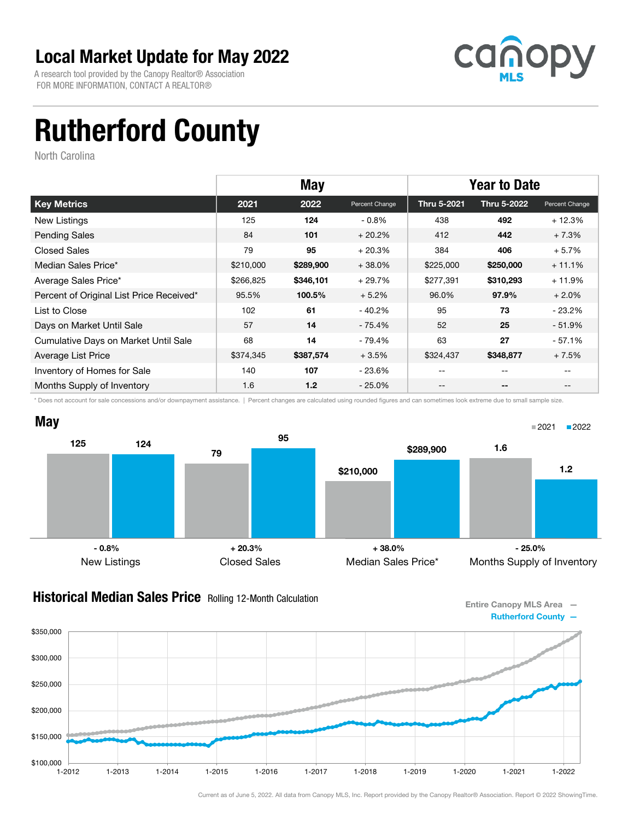A research tool provided by the Canopy Realtor® Association FOR MORE INFORMATION, CONTACT A REALTOR®



# Rutherford County

North Carolina

|                                          | <b>May</b> |           |                | <b>Year to Date</b> |             |                |
|------------------------------------------|------------|-----------|----------------|---------------------|-------------|----------------|
| <b>Key Metrics</b>                       | 2021       | 2022      | Percent Change | Thru 5-2021         | Thru 5-2022 | Percent Change |
| <b>New Listings</b>                      | 125        | 124       | $-0.8%$        | 438                 | 492         | $+12.3%$       |
| <b>Pending Sales</b>                     | 84         | 101       | $+20.2%$       | 412                 | 442         | $+7.3%$        |
| <b>Closed Sales</b>                      | 79         | 95        | $+20.3%$       | 384                 | 406         | $+5.7%$        |
| Median Sales Price*                      | \$210,000  | \$289,900 | $+38.0%$       | \$225,000           | \$250,000   | $+11.1%$       |
| Average Sales Price*                     | \$266,825  | \$346,101 | $+29.7%$       | \$277,391           | \$310,293   | $+11.9%$       |
| Percent of Original List Price Received* | 95.5%      | 100.5%    | $+5.2%$        | 96.0%               | 97.9%       | $+2.0%$        |
| List to Close                            | 102        | 61        | - 40.2%        | 95                  | 73          | $-23.2\%$      |
| Days on Market Until Sale                | 57         | 14        | - 75.4%        | 52                  | 25          | $-51.9\%$      |
| Cumulative Days on Market Until Sale     | 68         | 14        | - 79.4%        | 63                  | 27          | $-57.1%$       |
| Average List Price                       | \$374,345  | \$387,574 | $+3.5%$        | \$324,437           | \$348,877   | $+7.5%$        |
| Inventory of Homes for Sale              | 140        | 107       | - 23.6%        | --                  | $- -$       |                |
| Months Supply of Inventory               | 1.6        | 1.2       | $-25.0\%$      | --                  | --          |                |

\* Does not account for sale concessions and/or downpayment assistance. | Percent changes are calculated using rounded figures and can sometimes look extreme due to small sample size.



#### **Historical Median Sales Price** Rolling 12-Month Calculation

Entire Canopy MLS Area — Rutherford County —

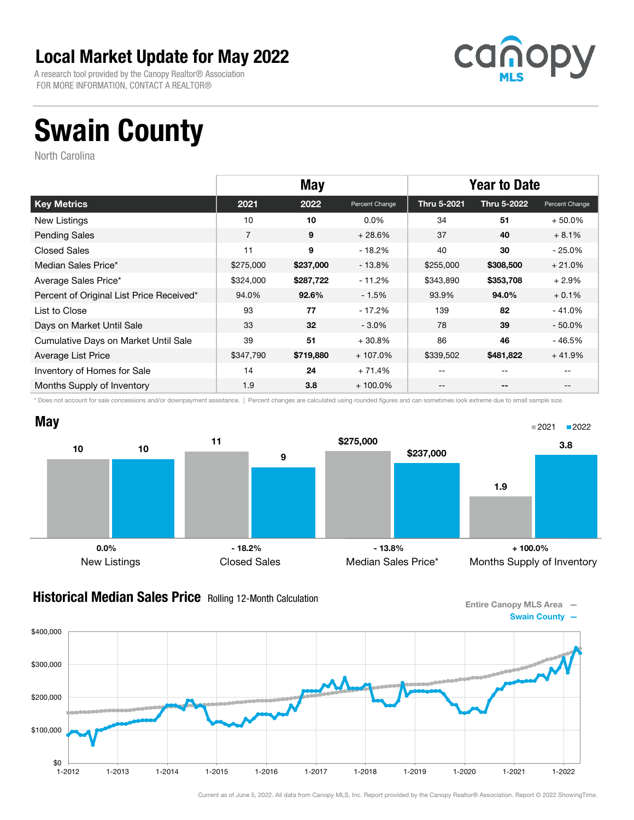A research tool provided by the Canopy Realtor® Association FOR MORE INFORMATION, CONTACT A REALTOR®



# Swain County

North Carolina

|                                          | <b>May</b>     |           |                | <b>Year to Date</b> |             |                |
|------------------------------------------|----------------|-----------|----------------|---------------------|-------------|----------------|
| <b>Key Metrics</b>                       | 2021           | 2022      | Percent Change | Thru 5-2021         | Thru 5-2022 | Percent Change |
| New Listings                             | 10             | 10        | $0.0\%$        | 34                  | 51          | $+50.0%$       |
| <b>Pending Sales</b>                     | $\overline{7}$ | 9         | $+28.6%$       | 37                  | 40          | $+8.1%$        |
| <b>Closed Sales</b>                      | 11             | 9         | $-18.2%$       | 40                  | 30          | $-25.0%$       |
| Median Sales Price*                      | \$275,000      | \$237,000 | - 13.8%        | \$255,000           | \$308,500   | $+21.0%$       |
| Average Sales Price*                     | \$324,000      | \$287,722 | $-11.2%$       | \$343,890           | \$353,708   | $+2.9%$        |
| Percent of Original List Price Received* | 94.0%          | 92.6%     | $-1.5%$        | 93.9%               | 94.0%       | $+0.1%$        |
| List to Close                            | 93             | 77        | - 17.2%        | 139                 | 82          | $-41.0%$       |
| Days on Market Until Sale                | 33             | 32        | $-3.0\%$       | 78                  | 39          | $-50.0%$       |
| Cumulative Days on Market Until Sale     | 39             | 51        | $+30.8%$       | 86                  | 46          | $-46.5%$       |
| Average List Price                       | \$347,790      | \$719,880 | $+107.0%$      | \$339,502           | \$481,822   | $+41.9%$       |
| Inventory of Homes for Sale              | 14             | 24        | $+71.4%$       | --                  | --          |                |
| Months Supply of Inventory               | 1.9            | 3.8       | $+100.0\%$     | --                  | $- -$       |                |

\* Does not account for sale concessions and/or downpayment assistance. | Percent changes are calculated using rounded figures and can sometimes look extreme due to small sample size.



#### **Historical Median Sales Price** Rolling 12-Month Calculation

Entire Canopy MLS Area — Swain County —

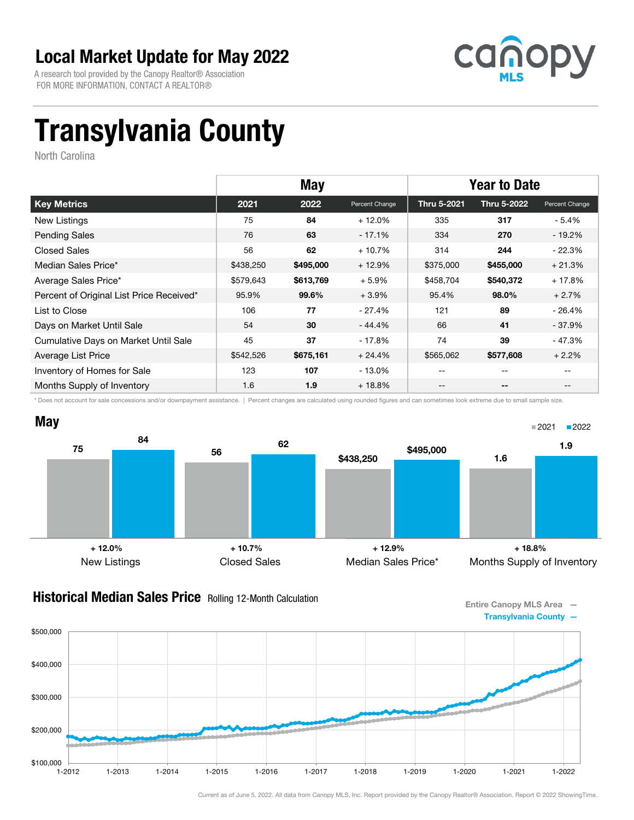A research tool provided by the Canopy Realtor® Association FOR MORE INFORMATION, CONTACT A REALTOR®



# Transylvania County

North Carolina

|                                          | <b>May</b> |           |                | <b>Year to Date</b> |             |                |
|------------------------------------------|------------|-----------|----------------|---------------------|-------------|----------------|
| <b>Key Metrics</b>                       | 2021       | 2022      | Percent Change | Thru 5-2021         | Thru 5-2022 | Percent Change |
| New Listings                             | 75         | 84        | $+12.0%$       | 335                 | 317         | $-5.4\%$       |
| <b>Pending Sales</b>                     | 76         | 63        | $-17.1%$       | 334                 | 270         | - 19.2%        |
| <b>Closed Sales</b>                      | 56         | 62        | $+10.7%$       | 314                 | 244         | $-22.3%$       |
| Median Sales Price*                      | \$438,250  | \$495,000 | $+12.9%$       | \$375,000           | \$455,000   | $+21.3%$       |
| Average Sales Price*                     | \$579,643  | \$613,769 | $+5.9%$        | \$458,704           | \$540,372   | $+17.8%$       |
| Percent of Original List Price Received* | 95.9%      | 99.6%     | $+3.9%$        | 95.4%               | 98.0%       | $+2.7%$        |
| List to Close                            | 106        | 77        | - 27.4%        | 121                 | 89          | $-26.4%$       |
| Days on Market Until Sale                | 54         | 30        | - 44.4%        | 66                  | 41          | $-37.9%$       |
| Cumulative Days on Market Until Sale     | 45         | 37        | $-17.8%$       | 74                  | 39          | - 47.3%        |
| Average List Price                       | \$542,526  | \$675,161 | $+24.4%$       | \$565,062           | \$577,608   | $+2.2%$        |
| Inventory of Homes for Sale              | 123        | 107       | $-13.0\%$      | --                  | --          |                |
| Months Supply of Inventory               | 1.6        | 1.9       | $+18.8\%$      | --                  | --          | $- -$          |

\* Does not account for sale concessions and/or downpayment assistance. | Percent changes are calculated using rounded figures and can sometimes look extreme due to small sample size.



#### **Historical Median Sales Price** Rolling 12-Month Calculation

Entire Canopy MLS Area — Transylvania County —

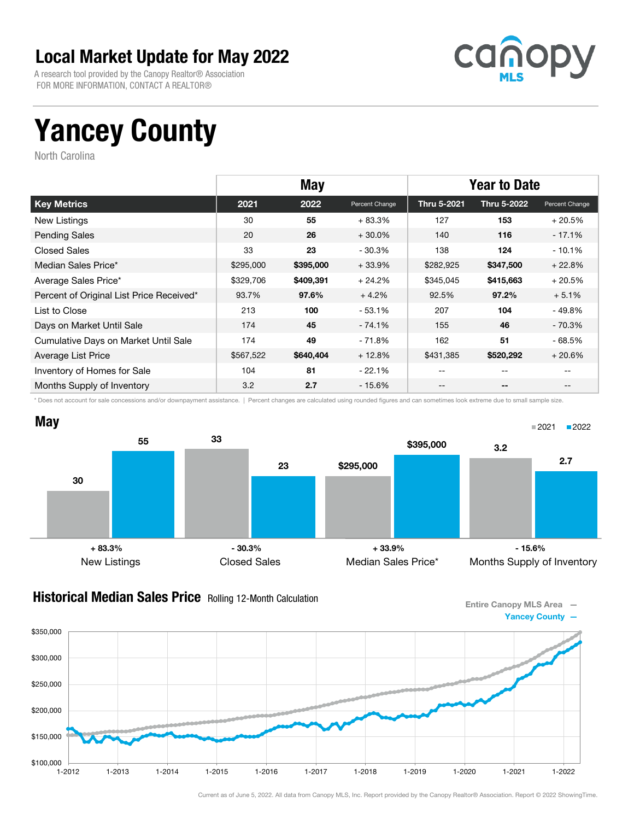A research tool provided by the Canopy Realtor® Association FOR MORE INFORMATION, CONTACT A REALTOR®



## Yancey County

North Carolina

|                                          | <b>May</b> |           |                | <b>Year to Date</b> |             |                |
|------------------------------------------|------------|-----------|----------------|---------------------|-------------|----------------|
| <b>Key Metrics</b>                       | 2021       | 2022      | Percent Change | Thru 5-2021         | Thru 5-2022 | Percent Change |
| New Listings                             | 30         | 55        | $+83.3%$       | 127                 | 153         | $+20.5%$       |
| <b>Pending Sales</b>                     | 20         | 26        | $+30.0%$       | 140                 | 116         | $-17.1%$       |
| <b>Closed Sales</b>                      | 33         | 23        | $-30.3%$       | 138                 | 124         | $-10.1%$       |
| Median Sales Price*                      | \$295,000  | \$395,000 | $+33.9%$       | \$282,925           | \$347,500   | $+22.8%$       |
| Average Sales Price*                     | \$329,706  | \$409,391 | $+24.2%$       | \$345,045           | \$415,663   | $+20.5%$       |
| Percent of Original List Price Received* | 93.7%      | 97.6%     | $+4.2%$        | 92.5%               | 97.2%       | $+5.1%$        |
| List to Close                            | 213        | 100       | $-53.1%$       | 207                 | 104         | $-49.8%$       |
| Days on Market Until Sale                | 174        | 45        | $-74.1%$       | 155                 | 46          | $-70.3%$       |
| Cumulative Days on Market Until Sale     | 174        | 49        | - 71.8%        | 162                 | 51          | $-68.5%$       |
| Average List Price                       | \$567,522  | \$640,404 | $+12.8%$       | \$431,385           | \$520,292   | $+20.6%$       |
| Inventory of Homes for Sale              | 104        | 81        | $-22.1%$       | --                  | $-$         |                |
| Months Supply of Inventory               | 3.2        | 2.7       | $-15.6%$       | --                  | $- -$       |                |

\* Does not account for sale concessions and/or downpayment assistance. | Percent changes are calculated using rounded figures and can sometimes look extreme due to small sample size.



#### **Historical Median Sales Price** Rolling 12-Month Calculation

Entire Canopy MLS Area — Yancey County —